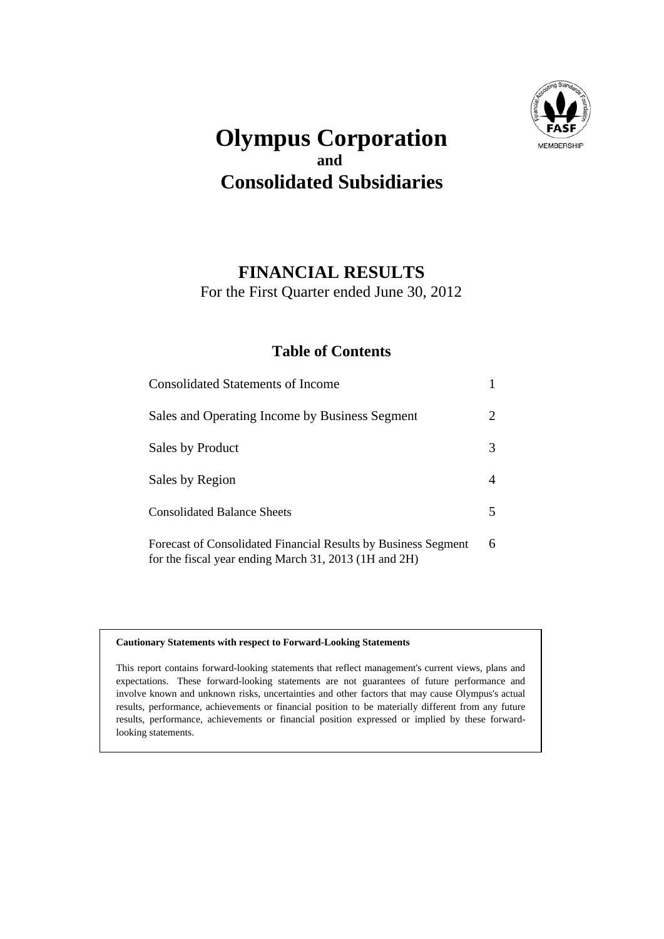

## **Olympus Corporation and Consolidated Subsidiaries**

### **FINANCIAL RESULTS**

For the First Quarter ended June 30, 2012

#### **Table of Contents**

| <b>Consolidated Statements of Income</b>                                                                                |   |
|-------------------------------------------------------------------------------------------------------------------------|---|
| Sales and Operating Income by Business Segment                                                                          | 2 |
| Sales by Product                                                                                                        | 3 |
| Sales by Region                                                                                                         | 4 |
| <b>Consolidated Balance Sheets</b>                                                                                      |   |
| Forecast of Consolidated Financial Results by Business Segment<br>for the fiscal year ending March 31, 2013 (1H and 2H) | 6 |

#### **Cautionary Statements with respect to Forward-Looking Statements**

This report contains forward-looking statements that reflect management's current views, plans and expectations. These forward-looking statements are not guarantees of future performance and involve known and unknown risks, uncertainties and other factors that may cause Olympus's actual results, performance, achievements or financial position to be materially different from any future results, performance, achievements or financial position expressed or implied by these forwardlooking statements.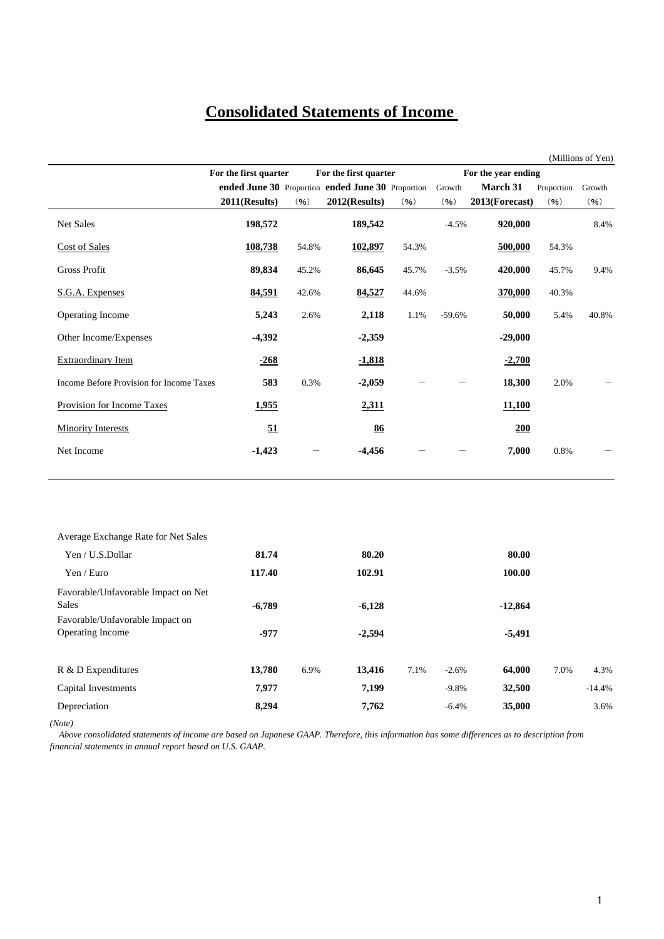## **Consolidated Statements of Income**

|                                          |                       |       |                                                   |       |          |                     |            | (Millions of Yen) |
|------------------------------------------|-----------------------|-------|---------------------------------------------------|-------|----------|---------------------|------------|-------------------|
|                                          | For the first quarter |       | For the first quarter                             |       |          | For the year ending |            |                   |
|                                          |                       |       | ended June 30 Proportion ended June 30 Proportion |       | Growth   | March 31            | Proportion | Growth            |
|                                          | 2011(Results)         | (96)  | $2012$ (Results)                                  | (96)  | (96)     | 2013(Forecast)      | (96)       | (96)              |
| Net Sales                                | 198,572               |       | 189,542                                           |       | $-4.5%$  | 920,000             |            | 8.4%              |
| <b>Cost of Sales</b>                     | 108,738               | 54.8% | 102,897                                           | 54.3% |          | 500,000             | 54.3%      |                   |
| <b>Gross Profit</b>                      | 89,834                | 45.2% | 86,645                                            | 45.7% | $-3.5%$  | 420,000             | 45.7%      | 9.4%              |
| S.G.A. Expenses                          | 84,591                | 42.6% | 84,527                                            | 44.6% |          | 370,000             | 40.3%      |                   |
| Operating Income                         | 5,243                 | 2.6%  | 2,118                                             | 1.1%  | $-59.6%$ | 50,000              | 5.4%       | 40.8%             |
| Other Income/Expenses                    | $-4,392$              |       | $-2,359$                                          |       |          | $-29,000$           |            |                   |
| <b>Extraordinary Item</b>                | $-268$                |       | $-1,818$                                          |       |          | $-2,700$            |            |                   |
| Income Before Provision for Income Taxes | 583                   | 0.3%  | $-2,059$                                          |       |          | 18,300              | 2.0%       |                   |
| Provision for Income Taxes               | 1,955                 |       | 2,311                                             |       |          | 11,100              |            |                   |
| <b>Minority Interests</b>                | 51                    |       | 86                                                |       |          | 200                 |            |                   |
| Net Income                               | $-1,423$              |       | $-4,456$                                          |       |          | 7,000               | 0.8%       |                   |
|                                          |                       |       |                                                   |       |          |                     |            |                   |
| Average Exchange Rate for Net Sales      |                       |       |                                                   |       |          |                     |            |                   |
| Yen / U.S. Dollar                        | 81.74                 |       | 80.20                                             |       |          | 80.00               |            |                   |

| Yen / U.S.Dollar                    | 81.74    |      | 80.20    |      |         | 80.00     |      |          |
|-------------------------------------|----------|------|----------|------|---------|-----------|------|----------|
| Yen / Euro                          | 117.40   |      | 102.91   |      |         | 100.00    |      |          |
| Favorable/Unfavorable Impact on Net |          |      |          |      |         |           |      |          |
| Sales                               | $-6,789$ |      | $-6,128$ |      |         | $-12,864$ |      |          |
| Favorable/Unfavorable Impact on     |          |      |          |      |         |           |      |          |
| <b>Operating Income</b>             | $-977$   |      | $-2,594$ |      |         | $-5,491$  |      |          |
| R & D Expenditures                  | 13,780   | 6.9% | 13,416   | 7.1% | $-2.6%$ | 64,000    | 7.0% | 4.3%     |
| Capital Investments                 | 7,977    |      | 7,199    |      | $-9.8%$ | 32,500    |      | $-14.4%$ |
| Depreciation                        | 8,294    |      | 7,762    |      | $-6.4%$ | 35,000    |      | 3.6%     |

*(Note)*

 *Above consolidated statements of income are based on Japanese GAAP. Therefore, this information has some differences as to description from financial statements in annual report based on U.S. GAAP.*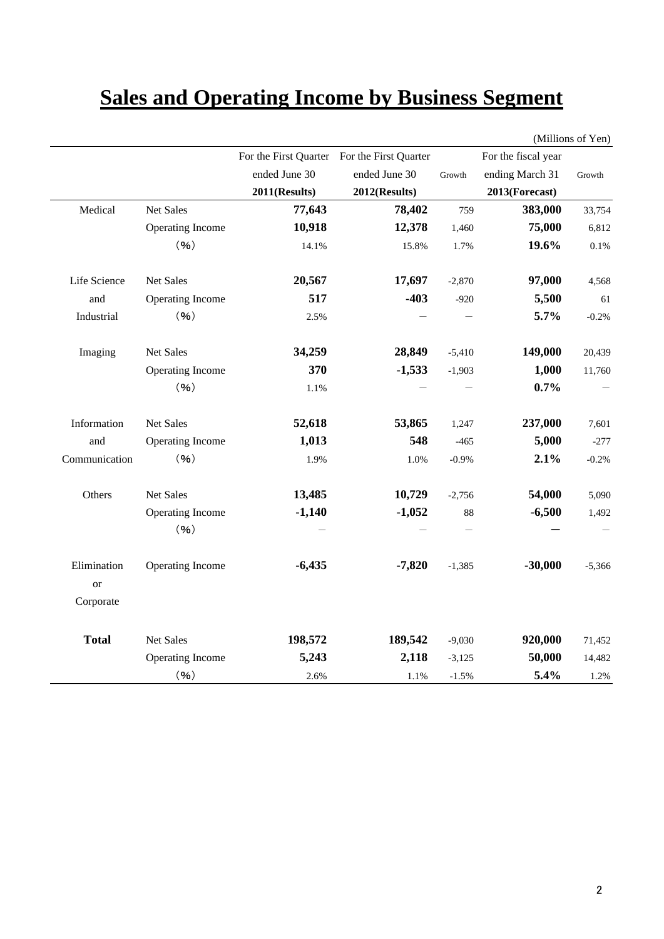# **Sales and Operating Income by Business Segment**

|                                           |                  |               |                                             |          |                     | (Millions of Yen) |
|-------------------------------------------|------------------|---------------|---------------------------------------------|----------|---------------------|-------------------|
|                                           |                  |               | For the First Quarter For the First Quarter |          | For the fiscal year |                   |
|                                           |                  | ended June 30 | ended June 30                               | Growth   | ending March 31     | Growth            |
|                                           |                  | 2011(Results) | 2012(Results)                               |          | 2013(Forecast)      |                   |
| Medical                                   | <b>Net Sales</b> | 77,643        | 78,402                                      | 759      | 383,000             | 33,754            |
|                                           | Operating Income | 10,918        | 12,378                                      | 1,460    | 75,000              | 6,812             |
|                                           | (96)             | 14.1%         | 15.8%                                       | 1.7%     | 19.6%               | 0.1%              |
| Life Science                              | Net Sales        | 20,567        | 17,697                                      | $-2,870$ | 97,000              | 4,568             |
| and                                       | Operating Income | 517           | $-403$                                      | $-920$   | 5,500               | 61                |
| Industrial                                | (96)             | 2.5%          |                                             |          | 5.7%                | $-0.2%$           |
| Imaging                                   | Net Sales        | 34,259        | 28,849                                      | $-5,410$ | 149,000             | 20,439            |
|                                           | Operating Income | 370           | $-1,533$                                    | $-1,903$ | 1,000               | 11,760            |
|                                           | (96)             | 1.1%          |                                             |          | 0.7%                |                   |
| Information                               | Net Sales        | 52,618        | 53,865                                      | 1,247    | 237,000             | 7,601             |
| and                                       | Operating Income | 1,013         | 548                                         | $-465$   | 5,000               | $-277$            |
| Communication                             | (96)             | 1.9%          | 1.0%                                        | $-0.9%$  | 2.1%                | $-0.2%$           |
| Others                                    | Net Sales        | 13,485        | 10,729                                      | $-2,756$ | 54,000              | 5,090             |
|                                           | Operating Income | $-1,140$      | $-1,052$                                    | 88       | $-6,500$            | 1,492             |
|                                           | (96)             |               |                                             |          |                     |                   |
| Elimination<br><sub>or</sub><br>Corporate | Operating Income | $-6,435$      | $-7,820$                                    | $-1,385$ | $-30,000$           | $-5,366$          |
|                                           |                  |               |                                             |          |                     |                   |
| <b>Total</b>                              | <b>Net Sales</b> | 198,572       | 189,542                                     | $-9,030$ | 920,000             | 71,452            |
|                                           | Operating Income | 5,243         | 2,118                                       | $-3,125$ | 50,000              | 14,482            |
|                                           | (96)             | 2.6%          | 1.1%                                        | $-1.5%$  | 5.4%                | 1.2%              |

(Millions of Yen)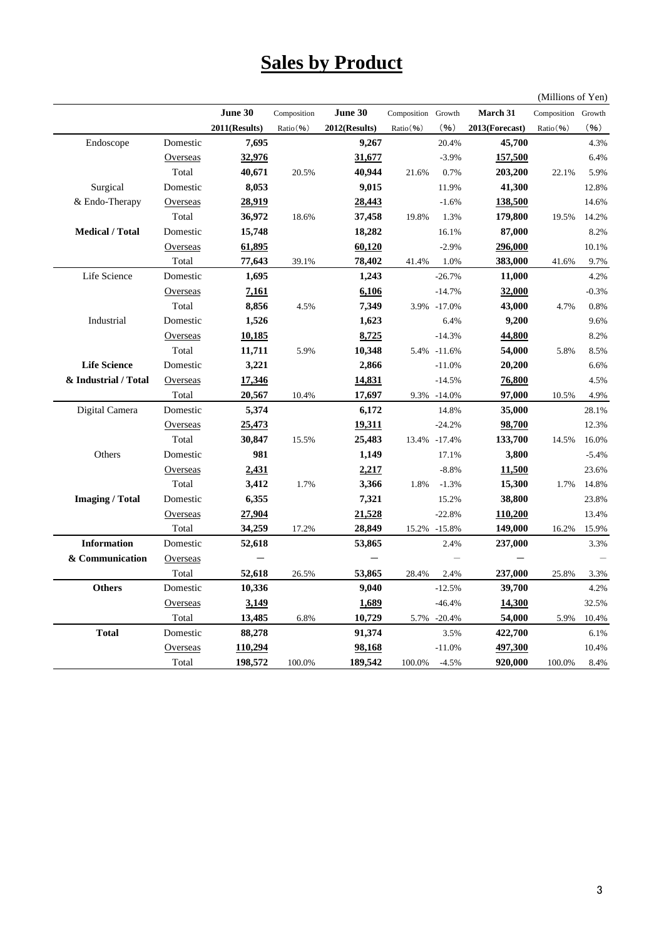# **Sales by Product**

(Millions of Yen)

|                        |                 | June 30       | Composition | June 30       | Composition Growth |              | March 31       | Composition Growth |         |
|------------------------|-----------------|---------------|-------------|---------------|--------------------|--------------|----------------|--------------------|---------|
|                        |                 | 2011(Results) | Ratio(%)    | 2012(Results) | Ratio(%)           | (96)         | 2013(Forecast) | Ratio(%)           | (96)    |
| Endoscope              | Domestic        | 7,695         |             | 9,267         |                    | 20.4%        | 45,700         |                    | 4.3%    |
|                        | Overseas        | 32,976        |             | 31,677        |                    | $-3.9%$      | 157,500        |                    | 6.4%    |
|                        | Total           | 40,671        | 20.5%       | 40,944        | 21.6%              | 0.7%         | 203,200        | 22.1%              | 5.9%    |
| Surgical               | Domestic        | 8,053         |             | 9,015         |                    | 11.9%        | 41,300         |                    | 12.8%   |
| & Endo-Therapy         | Overseas        | 28,919        |             | 28,443        |                    | $-1.6%$      | 138,500        |                    | 14.6%   |
|                        | Total           | 36,972        | 18.6%       | 37,458        | 19.8%              | 1.3%         | 179,800        | 19.5%              | 14.2%   |
| <b>Medical / Total</b> | Domestic        | 15,748        |             | 18,282        |                    | 16.1%        | 87,000         |                    | 8.2%    |
|                        | Overseas        | 61,895        |             | 60,120        |                    | $-2.9%$      | 296,000        |                    | 10.1%   |
|                        | Total           | 77,643        | 39.1%       | 78,402        | 41.4%              | 1.0%         | 383,000        | 41.6%              | 9.7%    |
| Life Science           | Domestic        | 1,695         |             | 1,243         |                    | $-26.7%$     | 11,000         |                    | 4.2%    |
|                        | <b>Overseas</b> | 7,161         |             | 6,106         |                    | $-14.7%$     | 32,000         |                    | $-0.3%$ |
|                        | Total           | 8,856         | 4.5%        | 7,349         |                    | 3.9% -17.0%  | 43,000         | 4.7%               | 0.8%    |
| Industrial             | Domestic        | 1,526         |             | 1,623         |                    | 6.4%         | 9,200          |                    | 9.6%    |
|                        | <b>Overseas</b> | 10,185        |             | 8,725         |                    | $-14.3%$     | 44,800         |                    | 8.2%    |
|                        | Total           | 11,711        | 5.9%        | 10,348        |                    | 5.4% -11.6%  | 54,000         | 5.8%               | 8.5%    |
| <b>Life Science</b>    | Domestic        | 3,221         |             | 2,866         |                    | $-11.0%$     | 20,200         |                    | 6.6%    |
| & Industrial / Total   | Overseas        | 17,346        |             | 14,831        |                    | $-14.5%$     | 76,800         |                    | 4.5%    |
|                        | Total           | 20,567        | 10.4%       | 17,697        |                    | 9.3% -14.0%  | 97,000         | 10.5%              | 4.9%    |
| Digital Camera         | Domestic        | 5,374         |             | 6,172         |                    | 14.8%        | 35,000         |                    | 28.1%   |
|                        | Overseas        | 25,473        |             | 19,311        |                    | $-24.2%$     | 98,700         |                    | 12.3%   |
|                        | Total           | 30,847        | 15.5%       | 25,483        |                    | 13.4% -17.4% | 133,700        | 14.5%              | 16.0%   |
| Others                 | Domestic        | 981           |             | 1,149         |                    | 17.1%        | 3,800          |                    | $-5.4%$ |
|                        | Overseas        | 2,431         |             | 2,217         |                    | $-8.8%$      | <u>11,500</u>  |                    | 23.6%   |
|                        | Total           | 3,412         | 1.7%        | 3,366         | 1.8%               | $-1.3%$      | 15,300         | 1.7%               | 14.8%   |
| <b>Imaging</b> / Total | Domestic        | 6,355         |             | 7,321         |                    | 15.2%        | 38,800         |                    | 23.8%   |
|                        | Overseas        | 27,904        |             | 21,528        |                    | $-22.8%$     | 110,200        |                    | 13.4%   |
|                        | Total           | 34,259        | 17.2%       | 28,849        |                    | 15.2% -15.8% | 149,000        | 16.2%              | 15.9%   |
| <b>Information</b>     | Domestic        | 52,618        |             | 53,865        |                    | 2.4%         | 237,000        |                    | 3.3%    |
| & Communication        | <b>Overseas</b> |               |             |               |                    |              |                |                    |         |
|                        | Total           | 52,618        | 26.5%       | 53,865        | 28.4%              | 2.4%         | 237,000        | 25.8%              | 3.3%    |
| <b>Others</b>          | Domestic        | 10,336        |             | 9,040         |                    | $-12.5%$     | 39,700         |                    | 4.2%    |
|                        | Overseas        | 3,149         |             | 1,689         |                    | $-46.4%$     | <u>14,300</u>  |                    | 32.5%   |
|                        | Total           | 13,485        | 6.8%        | 10,729        | 5.7%               | $-20.4%$     | 54,000         | 5.9%               | 10.4%   |
| <b>Total</b>           | Domestic        | 88,278        |             | 91,374        |                    | 3.5%         | 422,700        |                    | 6.1%    |
|                        | Overseas        | 110,294       |             | 98,168        |                    | $-11.0%$     | 497,300        |                    | 10.4%   |
|                        | Total           | 198,572       | 100.0%      | 189,542       | 100.0%             | $-4.5%$      | 920,000        | 100.0%             | 8.4%    |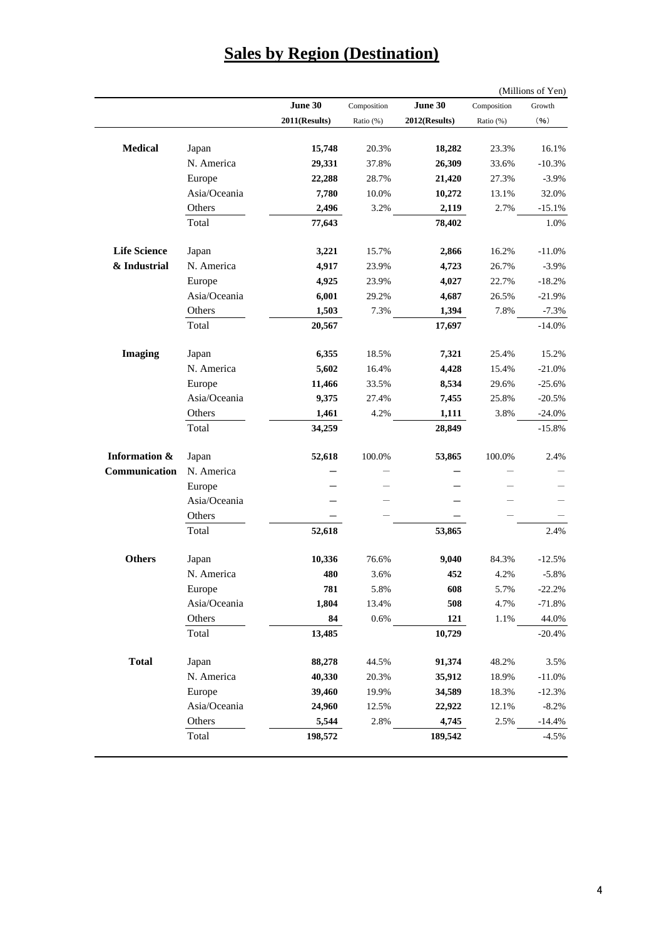|                          |                        |                 |             |                 |             | (Millions of Yen) |
|--------------------------|------------------------|-----------------|-------------|-----------------|-------------|-------------------|
|                          |                        | June 30         | Composition | June 30         | Composition | Growth            |
|                          |                        | 2011(Results)   | Ratio (%)   | 2012(Results)   | Ratio (%)   | (96)              |
| <b>Medical</b>           |                        |                 |             | 18,282          | 23.3%       |                   |
|                          | Japan<br>N. America    | 15,748          | 20.3%       |                 |             | 16.1%             |
|                          |                        | 29,331          | 37.8%       | 26,309          | 33.6%       | $-10.3%$          |
|                          | Europe<br>Asia/Oceania | 22,288          | 28.7%       | 21,420          | 27.3%       | $-3.9%$           |
|                          |                        | 7,780           | 10.0%       | 10,272          | 13.1%       | 32.0%             |
|                          | Others<br>Total        | 2,496<br>77,643 | 3.2%        | 2,119<br>78,402 | 2.7%        | $-15.1%$<br>1.0%  |
|                          |                        |                 |             |                 |             |                   |
| <b>Life Science</b>      | Japan                  | 3,221           | 15.7%       | 2,866           | 16.2%       | $-11.0%$          |
| & Industrial             | N. America             | 4,917           | 23.9%       | 4,723           | 26.7%       | $-3.9%$           |
|                          | Europe                 | 4,925           | 23.9%       | 4,027           | 22.7%       | $-18.2%$          |
|                          | Asia/Oceania           | 6,001           | 29.2%       | 4,687           | 26.5%       | $-21.9%$          |
|                          | Others                 | 1,503           | 7.3%        | 1,394           | 7.8%        | $-7.3%$           |
|                          | Total                  | 20,567          |             | 17,697          |             | $-14.0%$          |
| <b>Imaging</b>           | Japan                  | 6,355           | 18.5%       | 7,321           | 25.4%       | 15.2%             |
|                          | N. America             | 5,602           | 16.4%       | 4,428           | 15.4%       | $-21.0%$          |
|                          | Europe                 | 11,466          | 33.5%       | 8,534           | 29.6%       | $-25.6%$          |
|                          | Asia/Oceania           | 9,375           | 27.4%       | 7,455           | 25.8%       | $-20.5%$          |
|                          | Others                 | 1,461           | 4.2%        | 1,111           | 3.8%        | $-24.0%$          |
|                          | Total                  | 34,259          |             | 28,849          |             | $-15.8%$          |
| <b>Information &amp;</b> | Japan                  | 52,618          | 100.0%      | 53,865          | 100.0%      | 2.4%              |
| Communication            | N. America             |                 |             |                 |             |                   |
|                          | Europe                 |                 |             |                 |             |                   |
|                          | Asia/Oceania           |                 |             |                 |             |                   |
|                          | Others                 |                 |             |                 |             |                   |
|                          | Total                  | 52,618          |             | 53,865          |             | 2.4%              |
|                          |                        |                 |             |                 |             |                   |
| <b>Others</b>            | Japan                  | 10,336          | 76.6%       | 9,040           | 84.3%       | $-12.5%$          |
|                          | N. America             | 480             | 3.6%        | 452             | 4.2%        | $-5.8%$           |
|                          | Europe                 | 781             | 5.8%        | 608             | 5.7%        | $-22.2%$          |
|                          | Asia/Oceania           | 1,804           | 13.4%       | 508             | 4.7%        | $-71.8%$          |
|                          | Others<br>Total        | 84              | 0.6%        | 121             | 1.1%        | 44.0%             |
|                          |                        | 13,485          |             | 10,729          |             | $-20.4%$          |
| <b>Total</b>             | Japan                  | 88,278          | 44.5%       | 91,374          | 48.2%       | 3.5%              |
|                          | N. America             | 40,330          | 20.3%       | 35,912          | 18.9%       | $-11.0%$          |
|                          | Europe                 | 39,460          | 19.9%       | 34,589          | 18.3%       | $-12.3%$          |
|                          | Asia/Oceania           | 24,960          | 12.5%       | 22,922          | 12.1%       | $-8.2%$           |
|                          | Others                 | 5,544           | 2.8%        | 4,745           | 2.5%        | $-14.4%$          |
|                          | Total                  | 198,572         |             | 189,542         |             | $-4.5%$           |

## **Sales by Region (Destination)**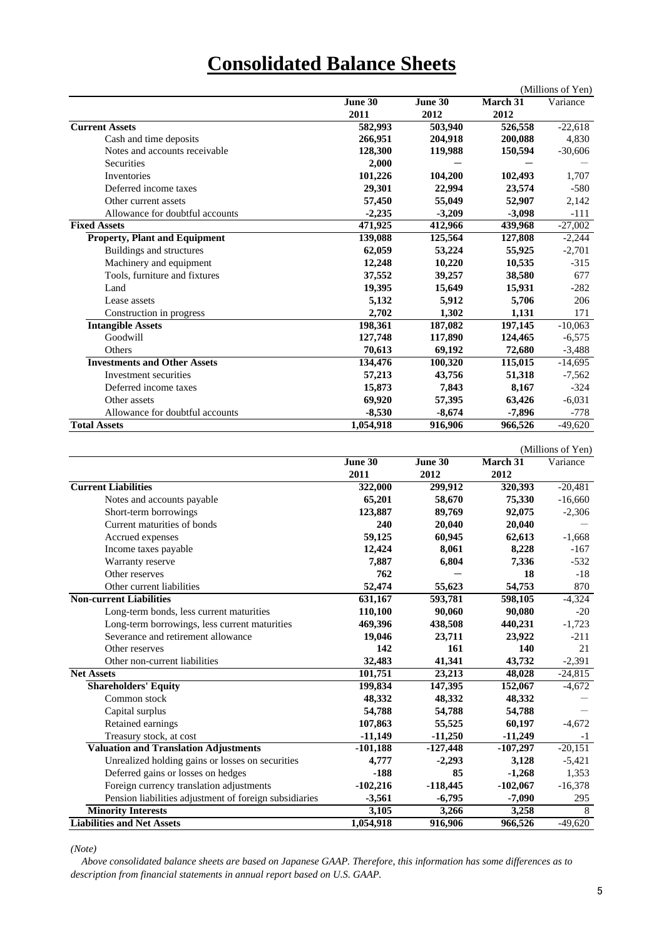# **Consolidated Balance Sheets**

|                                      |           |          |                      | (Millions of Yen) |
|--------------------------------------|-----------|----------|----------------------|-------------------|
|                                      | June 30   | June 30  | March 31             | Variance          |
|                                      | 2011      | 2012     | 2012                 |                   |
| <b>Current Assets</b>                | 582,993   | 503,940  | 526,558              | $-22,618$         |
| Cash and time deposits               | 266,951   | 204,918  | 200,088              | 4,830             |
| Notes and accounts receivable        | 128,300   | 119,988  | 150,594              | $-30,606$         |
| <b>Securities</b>                    | 2.000     |          |                      |                   |
| Inventories                          | 101,226   | 104,200  | 102,493              | 1,707             |
| Deferred income taxes                | 29,301    | 22,994   | 23,574               | $-580$            |
| Other current assets                 | 57,450    | 55,049   | 52,907               | 2,142             |
| Allowance for doubtful accounts      | $-2,235$  | $-3,209$ | $-3,098$             | $-111$            |
| <b>Fixed Assets</b>                  | 471,925   | 412,966  | 439,968              | $-27,002$         |
| <b>Property, Plant and Equipment</b> | 139,088   | 125,564  | 127,808              | $-2,244$          |
| Buildings and structures             | 62,059    | 53,224   | 55,925               | $-2,701$          |
| Machinery and equipment              | 12,248    | 10,220   | 10,535               | $-315$            |
| Tools, furniture and fixtures        | 37,552    | 39,257   | 38,580               | 677               |
| Land                                 | 19,395    | 15,649   | 15,931               | $-282$            |
| Lease assets                         | 5,132     | 5,912    | 5,706                | 206               |
| Construction in progress             | 2,702     | 1,302    | 1,131                | 171               |
| <b>Intangible Assets</b>             | 198,361   | 187,082  | 197,145              | $-10,063$         |
| Goodwill                             | 127,748   | 117,890  | 124,465              | $-6,575$          |
| Others                               | 70.613    | 69,192   | 72,680               | $-3,488$          |
| <b>Investments and Other Assets</b>  | 134,476   | 100,320  | 115,015              | $-14,695$         |
| Investment securities                | 57,213    | 43,756   | 51,318               | $-7,562$          |
| Deferred income taxes                | 15,873    | 7,843    | 8,167                | $-324$            |
| Other assets                         | 69,920    | 57,395   | 63,426               | $-6,031$          |
| Allowance for doubtful accounts      | $-8,530$  | $-8,674$ | $-7,896$             | $-778$            |
| <b>Total Assets</b>                  | 1,054,918 | 916,906  | $\overline{966,}526$ | $-49,620$         |

|                                                        |            |            |            | (Millions of Yen) |
|--------------------------------------------------------|------------|------------|------------|-------------------|
|                                                        | June 30    | June 30    | March $31$ | Variance          |
|                                                        | 2011       | 2012       | 2012       |                   |
| <b>Current Liabilities</b>                             | 322,000    | 299,912    | 320,393    | $-20,481$         |
| Notes and accounts payable                             | 65,201     | 58,670     | 75,330     | $-16,660$         |
| Short-term borrowings                                  | 123,887    | 89,769     | 92,075     | $-2,306$          |
| Current maturities of bonds                            | 240        | 20,040     | 20,040     |                   |
| Accrued expenses                                       | 59,125     | 60,945     | 62,613     | $-1,668$          |
| Income taxes payable                                   | 12,424     | 8,061      | 8,228      | $-167$            |
| Warranty reserve                                       | 7,887      | 6,804      | 7,336      | $-532$            |
| Other reserves                                         | 762        |            | 18         | $-18$             |
| Other current liabilities                              | 52,474     | 55,623     | 54,753     | 870               |
| <b>Non-current Liabilities</b>                         | 631,167    | 593,781    | 598,105    | $-4,324$          |
| Long-term bonds, less current maturities               | 110,100    | 90.060     | 90,080     | $-20$             |
| Long-term borrowings, less current maturities          | 469,396    | 438,508    | 440,231    | $-1,723$          |
| Severance and retirement allowance                     | 19,046     | 23,711     | 23,922     | $-211$            |
| Other reserves                                         | 142        | 161        | 140        | 21                |
| Other non-current liabilities                          | 32,483     | 41,341     | 43,732     | $-2,391$          |
| <b>Net Assets</b>                                      | 101,751    | 23,213     | 48,028     | $-24,815$         |
| <b>Shareholders' Equity</b>                            | 199,834    | 147,395    | 152,067    | $-4,672$          |
| Common stock                                           | 48,332     | 48,332     | 48,332     |                   |
| Capital surplus                                        | 54,788     | 54,788     | 54,788     |                   |
| Retained earnings                                      | 107,863    | 55,525     | 60,197     | $-4,672$          |
| Treasury stock, at cost                                | $-11,149$  | $-11,250$  | $-11,249$  | $-1$              |
| <b>Valuation and Translation Adjustments</b>           | $-101,188$ | $-127,448$ | $-107,297$ | $-20,151$         |
| Unrealized holding gains or losses on securities       | 4,777      | $-2,293$   | 3,128      | $-5,421$          |
| Deferred gains or losses on hedges                     | $-188$     | 85         | $-1,268$   | 1,353             |
| Foreign currency translation adjustments               | $-102,216$ | $-118,445$ | $-102,067$ | $-16,378$         |
| Pension liabilities adjustment of foreign subsidiaries | $-3,561$   | $-6,795$   | $-7,090$   | 295               |
| <b>Minority Interests</b>                              | 3,105      | 3,266      | 3,258      | 8                 |
| <b>Liabilities and Net Assets</b>                      | 1,054,918  | 916,906    | 966,526    | $-49,620$         |

*(Note)*

 *Above consolidated balance sheets are based on Japanese GAAP. Therefore, this information has some differences as to description from financial statements in annual report based on U.S. GAAP.*